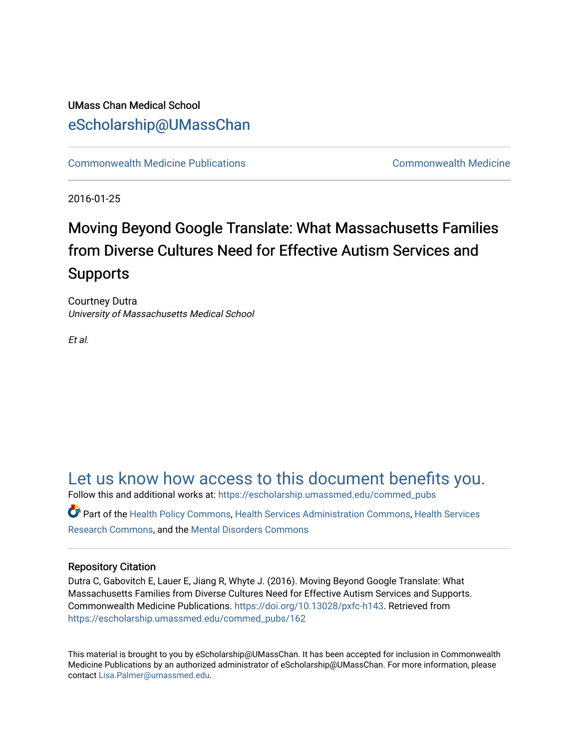#### UMass Chan Medical School [eScholarship@UMassChan](https://escholarship.umassmed.edu/)

[Commonwealth Medicine Publications](https://escholarship.umassmed.edu/commed_pubs) [Commonwealth Medicine](https://escholarship.umassmed.edu/commed) 

2016-01-25

#### Moving Beyond Google Translate: What Massachusetts Families from Diverse Cultures Need for Effective Autism Services and Supports

Courtney Dutra University of Massachusetts Medical School

Et al.

#### [Let us know how access to this document benefits you.](https://arcsapps.umassmed.edu/redcap/surveys/?s=XWRHNF9EJE)

Follow this and additional works at: [https://escholarship.umassmed.edu/commed\\_pubs](https://escholarship.umassmed.edu/commed_pubs?utm_source=escholarship.umassmed.edu%2Fcommed_pubs%2F162&utm_medium=PDF&utm_campaign=PDFCoverPages)

Part of the [Health Policy Commons](http://network.bepress.com/hgg/discipline/395?utm_source=escholarship.umassmed.edu%2Fcommed_pubs%2F162&utm_medium=PDF&utm_campaign=PDFCoverPages), [Health Services Administration Commons](http://network.bepress.com/hgg/discipline/747?utm_source=escholarship.umassmed.edu%2Fcommed_pubs%2F162&utm_medium=PDF&utm_campaign=PDFCoverPages), [Health Services](http://network.bepress.com/hgg/discipline/816?utm_source=escholarship.umassmed.edu%2Fcommed_pubs%2F162&utm_medium=PDF&utm_campaign=PDFCoverPages)  [Research Commons,](http://network.bepress.com/hgg/discipline/816?utm_source=escholarship.umassmed.edu%2Fcommed_pubs%2F162&utm_medium=PDF&utm_campaign=PDFCoverPages) and the [Mental Disorders Commons](http://network.bepress.com/hgg/discipline/968?utm_source=escholarship.umassmed.edu%2Fcommed_pubs%2F162&utm_medium=PDF&utm_campaign=PDFCoverPages)

#### Repository Citation

Dutra C, Gabovitch E, Lauer E, Jiang R, Whyte J. (2016). Moving Beyond Google Translate: What Massachusetts Families from Diverse Cultures Need for Effective Autism Services and Supports. Commonwealth Medicine Publications. [https://doi.org/10.13028/pxfc-h143.](https://doi.org/10.13028/pxfc-h143) Retrieved from [https://escholarship.umassmed.edu/commed\\_pubs/162](https://escholarship.umassmed.edu/commed_pubs/162?utm_source=escholarship.umassmed.edu%2Fcommed_pubs%2F162&utm_medium=PDF&utm_campaign=PDFCoverPages) 

This material is brought to you by eScholarship@UMassChan. It has been accepted for inclusion in Commonwealth Medicine Publications by an authorized administrator of eScholarship@UMassChan. For more information, please contact [Lisa.Palmer@umassmed.edu.](mailto:Lisa.Palmer@umassmed.edu)